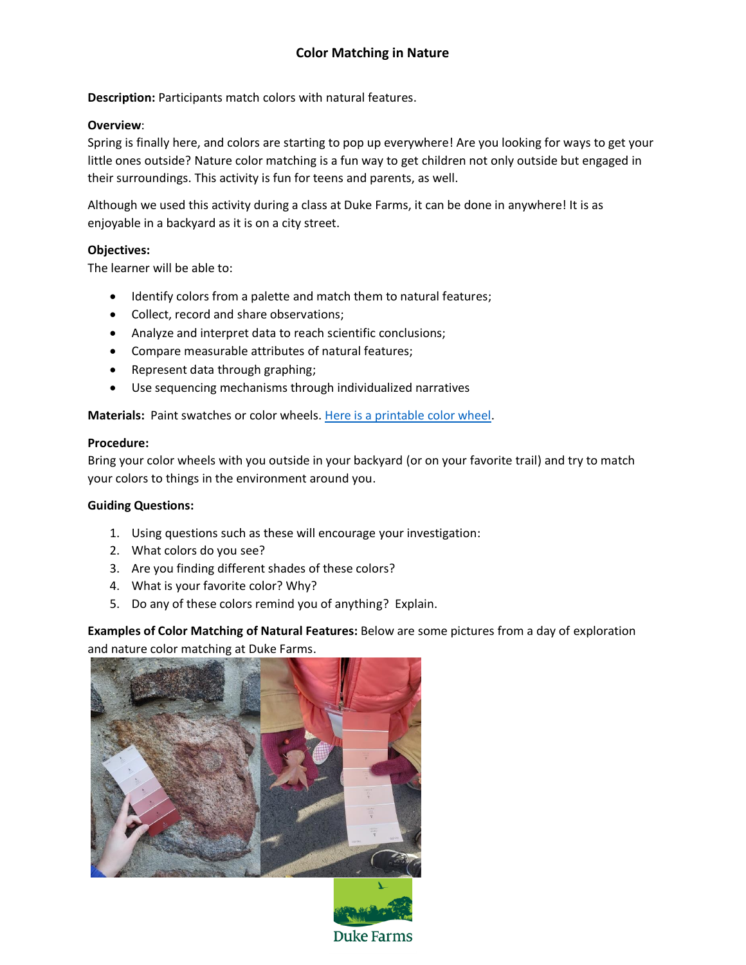**Description: Participants match colors with natural features.** 

#### **Overview**:

Spring is finally here, and colors are starting to pop up everywhere! Are you looking for ways to get your little ones outside? Nature color matching is a fun way to get children not only outside but engaged in their surroundings. This activity is fun for teens and parents, as well.

Although we used this activity during a class at Duke Farms, it can be done in anywhere! It is as enjoyable in a backyard as it is on a city street.

#### **Objectives:**

The learner will be able to:

- Identify colors from a palette and match them to natural features;
- Collect, record and share observations;
- Analyze and interpret data to reach scientific conclusions;
- Compare measurable attributes of natural features;
- Represent data through graphing;
- Use sequencing mechanisms through individualized narratives

**Materials:** Paint swatches or color wheels[. Here is a printable color wheel.](http://www.dreamhomedecorating.com/printable-color-wheel.html)

#### **Procedure:**

Bring your color wheels with you outside in your backyard (or on your favorite trail) and try to match your colors to things in the environment around you.

#### **Guiding Questions:**

- 1. Using questions such as these will encourage your investigation:
- 2. What colors do you see?
- 3. Are you finding different shades of these colors?
- 4. What is your favorite color? Why?
- 5. Do any of these colors remind you of anything? Explain.

**Examples of Color Matching of Natural Features:** Below are some pictures from a day of exploration and nature color matching at Duke Farms.





Duke Farms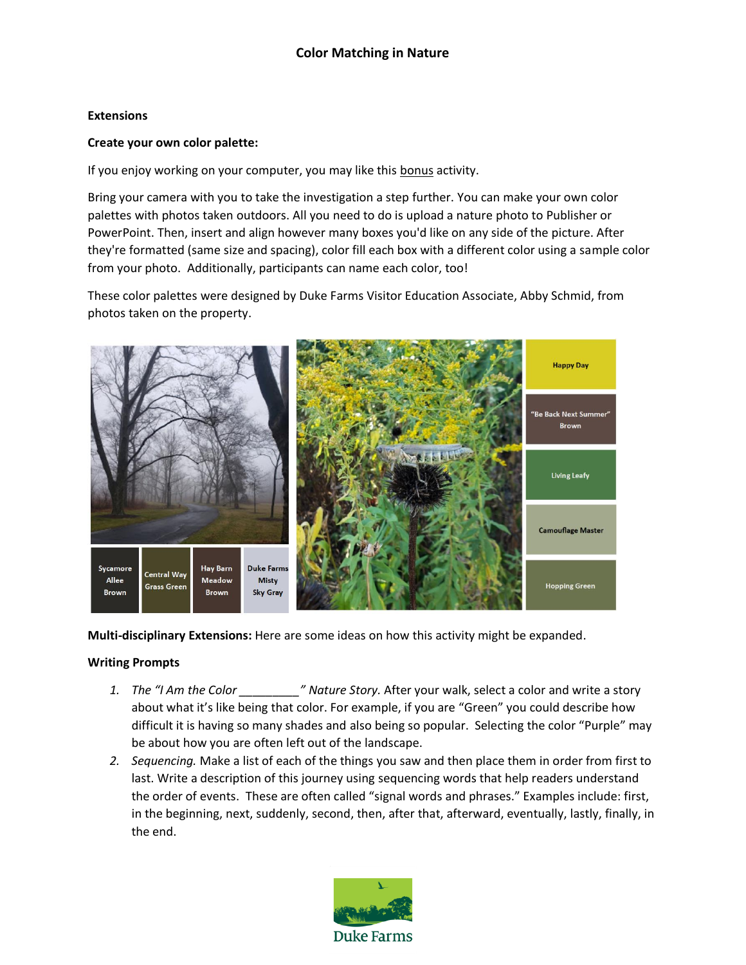#### **Extensions**

#### **Create your own color palette:**

If you enjoy working on your computer, you may like this bonus activity.

Bring your camera with you to take the investigation a step further. You can make your own color palettes with photos taken outdoors. All you need to do is upload a nature photo to Publisher or PowerPoint. Then, insert and align however many boxes you'd like on any side of the picture. After they're formatted (same size and spacing), color fill each box with a different color using a sample color from your photo. Additionally, participants can name each color, too!

These color palettes were designed by Duke Farms Visitor Education Associate, Abby Schmid, from photos taken on the property.



**Multi-disciplinary Extensions:** Here are some ideas on how this activity might be expanded.

#### **Writing Prompts**

- *1. The "I Am the Color \_\_\_\_\_\_\_\_\_" Nature Story.* After your walk, select a color and write a story about what it's like being that color. For example, if you are "Green" you could describe how difficult it is having so many shades and also being so popular. Selecting the color "Purple" may be about how you are often left out of the landscape.
- *2. Sequencing.* Make a list of each of the things you saw and then place them in order from first to last. Write a description of this journey using sequencing words that help readers understand the order of events. These are often called "signal words and phrases." Examples include: first, in the beginning, next, suddenly, second, then, after that, afterward, eventually, lastly, finally, in the end.

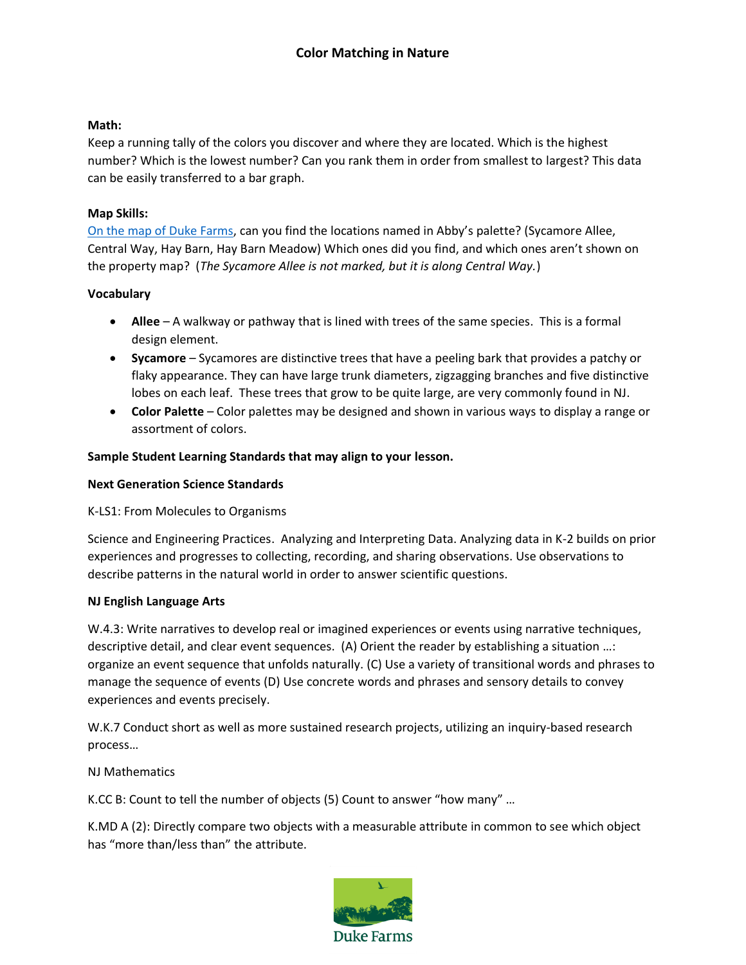#### **Math:**

Keep a running tally of the colors you discover and where they are located. Which is the highest number? Which is the lowest number? Can you rank them in order from smallest to largest? This data can be easily transferred to a bar graph.

#### **Map Skills:**

On the [map of Duke Farms,](https://dukefarms.org/siteassets/documents/visiting-duke-farms/property-map/brochure_base_map-app-promo-for-website.pdf) can you find the locations named in Abby's palette? (Sycamore Allee, Central Way, Hay Barn, Hay Barn Meadow) Which ones did you find, and which ones aren't shown on the property map? (*The Sycamore Allee is not marked, but it is along Central Way.*)

## **Vocabulary**

- **Allee** A walkway or pathway that is lined with trees of the same species. This is a formal design element.
- **Sycamore** Sycamores are distinctive trees that have a peeling bark that provides a patchy or flaky appearance. They can have large trunk diameters, zigzagging branches and five distinctive lobes on each leaf. These trees that grow to be quite large, are very commonly found in NJ.
- **Color Palette** Color palettes may be designed and shown in various ways to display a range or assortment of colors.

## **Sample Student Learning Standards that may align to your lesson.**

#### **Next Generation Science Standards**

K-LS1: From Molecules to Organisms

Science and Engineering Practices. Analyzing and Interpreting Data. Analyzing data in K-2 builds on prior experiences and progresses to collecting, recording, and sharing observations. Use observations to describe patterns in the natural world in order to answer scientific questions.

#### **NJ English Language Arts**

W.4.3: Write narratives to develop real or imagined experiences or events using narrative techniques, descriptive detail, and clear event sequences. (A) Orient the reader by establishing a situation …: organize an event sequence that unfolds naturally. (C) Use a variety of transitional words and phrases to manage the sequence of events (D) Use concrete words and phrases and sensory details to convey experiences and events precisely.

W.K.7 Conduct short as well as more sustained research projects, utilizing an inquiry-based research process…

NJ Mathematics

K.CC B: Count to tell the number of objects (5) Count to answer "how many" …

K.MD A (2): Directly compare two objects with a measurable attribute in common to see which object has "more than/less than" the attribute.